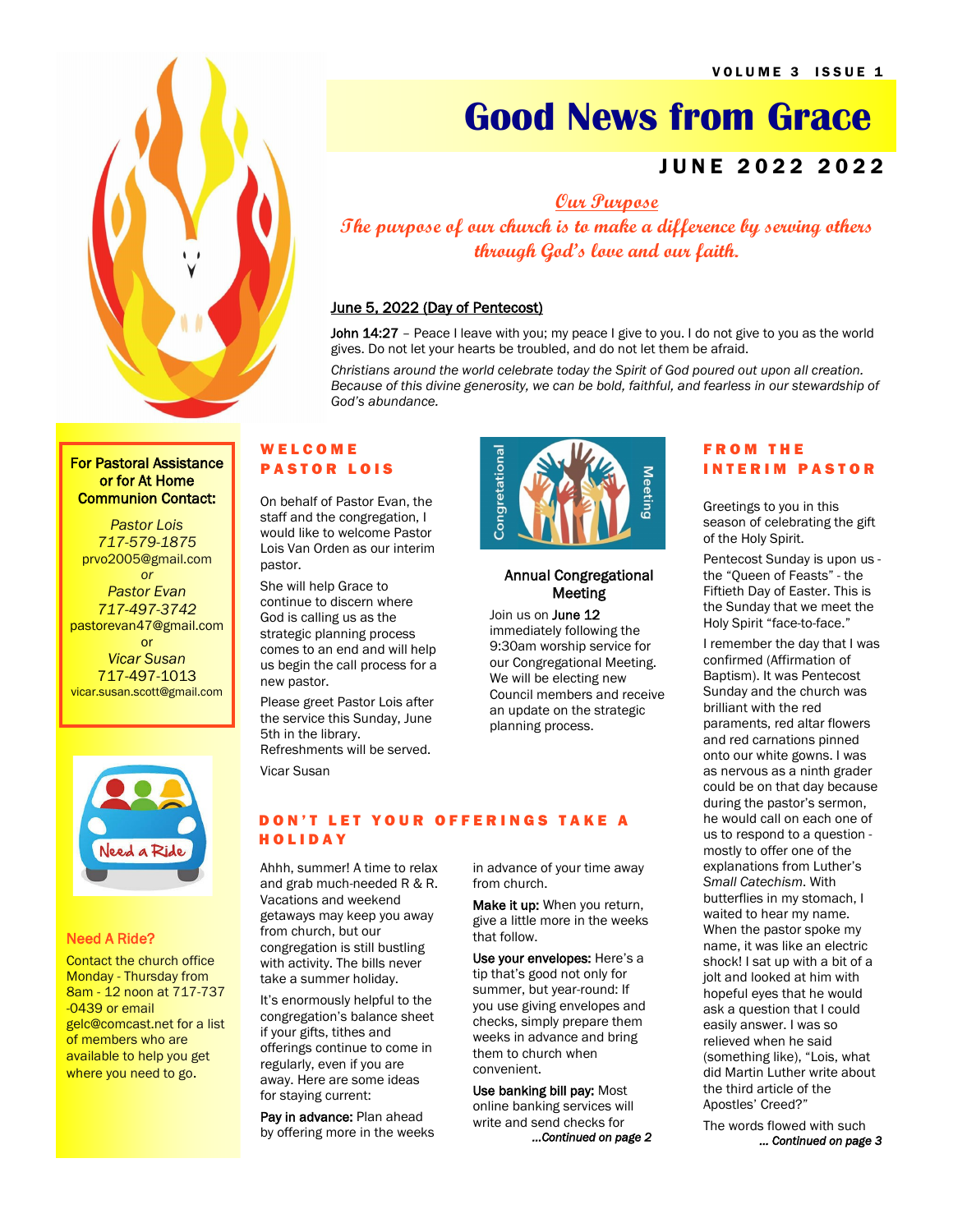

# **Good News from Grace**

# JUNE 2022 2022

**Our Purpose**

**The purpose of our church is to make a difference by serving others through God's love and our faith.**

# June 5, 2022 (Day of Pentecost)

John 14:27 - Peace I leave with you; my peace I give to you. I do not give to you as the world gives. Do not let your hearts be troubled, and do not let them be afraid.

*Christians around the world celebrate today the Spirit of God poured out upon all creation. Because of this divine generosity, we can be bold, faithful, and fearless in our stewardship of God's abundance.*

> Annual Congregational **Meeting**

Join us on **June 12** immediately following the 9:30am worship service for our Congregational Meeting. We will be electing new Council members and receive an update on the strategic planning process.

Congretational

# For Pastoral Assistance or for At Home Communion Contact:

*Pastor Lois 717-579-1875* prvo2005@gmail.com *or Pastor Evan 717-497-3742* pastorevan47@gmail.com or *Vicar Susan*  717-497-1013 vicar.susan.scott@gmail.com



## Need A Ride?

**Contact the church office** Monday - Thursday from 8am - 12 noon at 717-737 -0439 or email gelc@comcast.net for a list of members who are available to help you get where you need to go.

# W E L C O M E **PASTOR LOIS**

On behalf of Pastor Evan, the staff and the congregation, I would like to welcome Pastor Lois Van Orden as our interim pastor.

She will help Grace to continue to discern where God is calling us as the strategic planning process comes to an end and will help us begin the call process for a new pastor.

Please greet Pastor Lois after the service this Sunday, June 5th in the library. Refreshments will be served.

Vicar Susan

# DON'T LET YOUR OFFERINGS TAKE A **HOLIDAY**

Ahhh, summer! A time to relax and grab much-needed R & R. Vacations and weekend getaways may keep you away from church, but our congregation is still bustling with activity. The bills never take a summer holiday.

It's enormously helpful to the congregation's balance sheet if your gifts, tithes and offerings continue to come in regularly, even if you are away. Here are some ideas for staying current:

Pay in advance: Plan ahead by offering more in the weeks in advance of your time away from church.

Make it up: When you return, give a little more in the weeks that follow.

Use your envelopes: Here's a tip that's good not only for summer, but year-round: If you use giving envelopes and checks, simply prepare them weeks in advance and bring them to church when convenient.

Use banking bill pay: Most online banking services will write and send checks for *...Continued on page 2* 

# F R O M T H E **INTERIM PASTOR**

Greetings to you in this season of celebrating the gift of the Holy Spirit.

Pentecost Sunday is upon us the "Queen of Feasts" - the Fiftieth Day of Easter. This is the Sunday that we meet the Holy Spirit "face-to-face."

I remember the day that I was confirmed (Affirmation of Baptism). It was Pentecost Sunday and the church was brilliant with the red paraments, red altar flowers and red carnations pinned onto our white gowns. I was as nervous as a ninth grader could be on that day because during the pastor's sermon, he would call on each one of us to respond to a question mostly to offer one of the explanations from Luther's *Small Catechism*. With butterflies in my stomach, I waited to hear my name. When the pastor spoke my name, it was like an electric shock! I sat up with a bit of a jolt and looked at him with hopeful eyes that he would ask a question that I could easily answer. I was so relieved when he said (something like), "Lois, what did Martin Luther write about the third article of the Apostles' Creed?"

The words flowed with such *… Continued on page 3*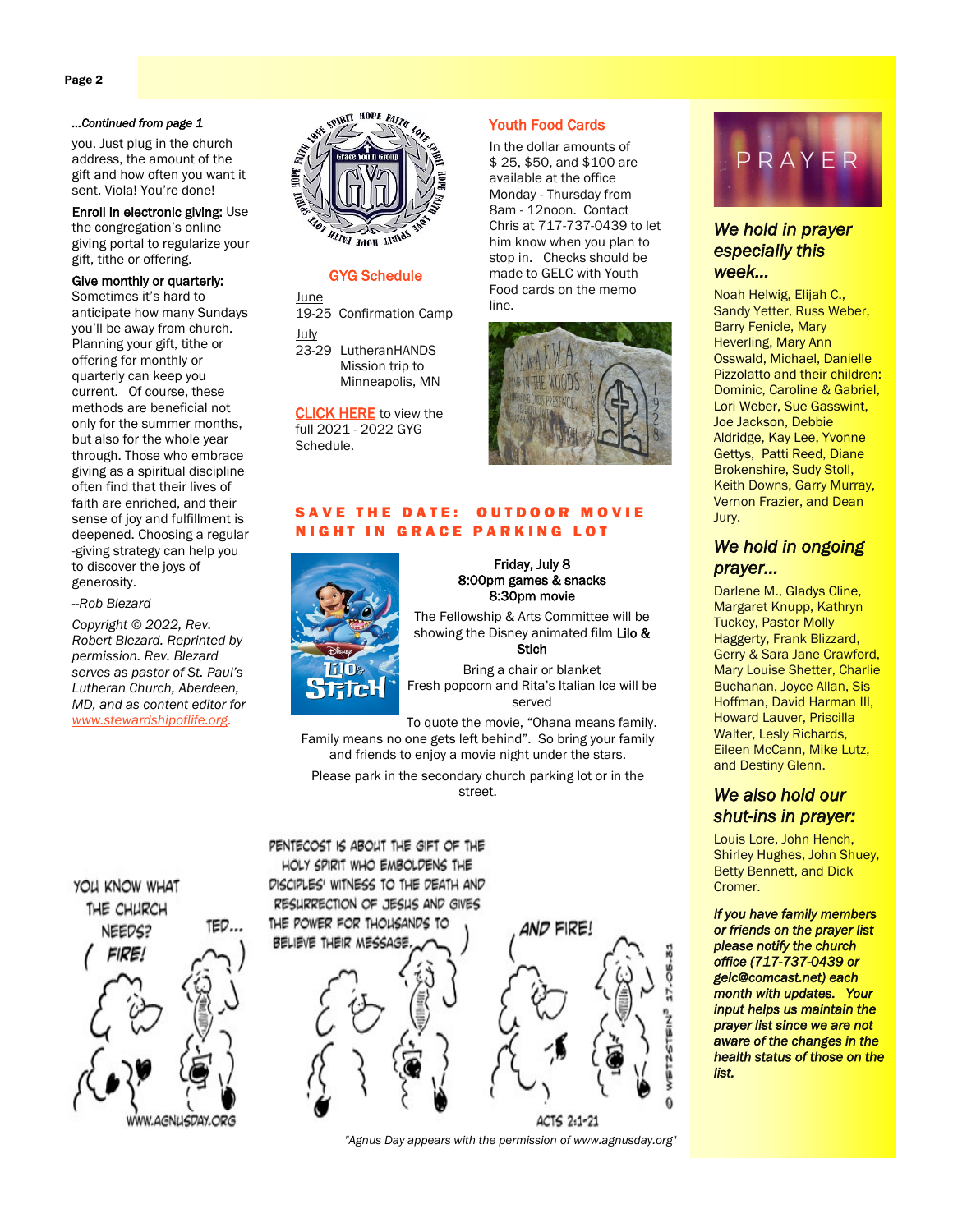#### *...Continued from page 1*

you. Just plug in the church address, the amount of the gift and how often you want it sent. Viola! You're done!

Enroll in electronic giving: Use the congregation's online giving portal to regularize your gift, tithe or offering.

## Give monthly or quarterly: Sometimes it's hard to

anticipate how many Sundays you'll be away from church. Planning your gift, tithe or offering for monthly or quarterly can keep you current. Of course, these methods are beneficial not only for the summer months, but also for the whole year through. Those who embrace giving as a spiritual discipline often find that their lives of faith are enriched, and their sense of joy and fulfillment is deepened. Choosing a regular -giving strategy can help you to discover the joys of generosity.

*--Rob Blezard*

*Copyright © 2022, Rev. Robert Blezard. Reprinted by permission. Rev. Blezard serves as pastor of St. Paul's Lutheran Church, Aberdeen, MD, and as content editor for [www.stewardshipoflife.org.](http://www.stewardshipoflife.org)*



#### GYG Schedule

**June** 19-25 Confirmation Camp

July 23-29 LutheranHANDS Mission trip to Minneapolis, MN

[CLICK HERE](https://b09c93a5-c12d-425b-9eac-2de470f65c89.filesusr.com/ugd/f68493_630a778947f140e1abb7f6de44fc3f17.pdf) to view the full 2021 - 2022 GYG Schedule.

# Youth Food Cards

In the dollar amounts of \$ 25, \$50, and \$100 are available at the office Monday - Thursday from 8am - 12noon. Contact Chris at 717-737-0439 to let him know when you plan to stop in. Checks should be made to GELC with Youth Food cards on the memo line.



# SAVE THE DATE: OUTDOOR MOVIE NIGHT IN GRACE PARKING LOT



Friday, July 8 8:00pm games & snacks 8:30pm movie

The Fellowship & Arts Committee will be showing the Disney animated film Lilo & Stich

Bring a chair or blanket Fresh popcorn and Rita's Italian Ice will be served

To quote the movie, "Ohana means family. Family means no one gets left behind". So bring your family and friends to enjoy a movie night under the stars.

Please park in the secondary church parking lot or in the street.

PENTECOST IS ABOUT THE GIFT OF THE HOLY SPIRIT WHO EMBOLDENS THE DISCIPLES' WITNESS TO THE DEATH AND RESURRECTION OF JESUS AND GIVES

BELIEVE THEIR MESSAGE









# *We hold in prayer especially this week…*

Noah Helwig, Elijah C., Sandy Yetter, Russ Weber, Barry Fenicle, Mary Heverling, Mary Ann Osswald, Michael, Danielle Pizzolatto and their children: Dominic, Caroline & Gabriel, Lori Weber, Sue Gasswint, Joe Jackson, Debbie Aldridge, Kay Lee, Yvonne Gettys, Patti Reed, Diane Brokenshire, Sudy Stoll, Keith Downs, Garry Murray, Vernon Frazier, and Dean Jury.

# *We hold in ongoing prayer…*

Darlene M., Gladys Cline, Margaret Knupp, Kathryn Tuckey, Pastor Molly Haggerty, Frank Blizzard, Gerry & Sara Jane Crawford, Mary Louise Shetter, Charlie Buchanan, Joyce Allan, Sis Hoffman, David Harman III, Howard Lauver, Priscilla Walter, Lesly Richards, Eileen McCann, Mike Lutz, and Destiny Glenn.

# *We also hold our shut-ins in prayer:*

Louis Lore, John Hench, Shirley Hughes, John Shuey, Betty Bennett, and Dick Cromer.

*If you have family members or friends on the prayer list please notify the church office (717-737-0439 or gelc@comcast.net) each month with updates. Your input helps us maintain the prayer list since we are not aware of the changes in the health status of those on the list.* 



THE POWER FOR THOUSANDS TO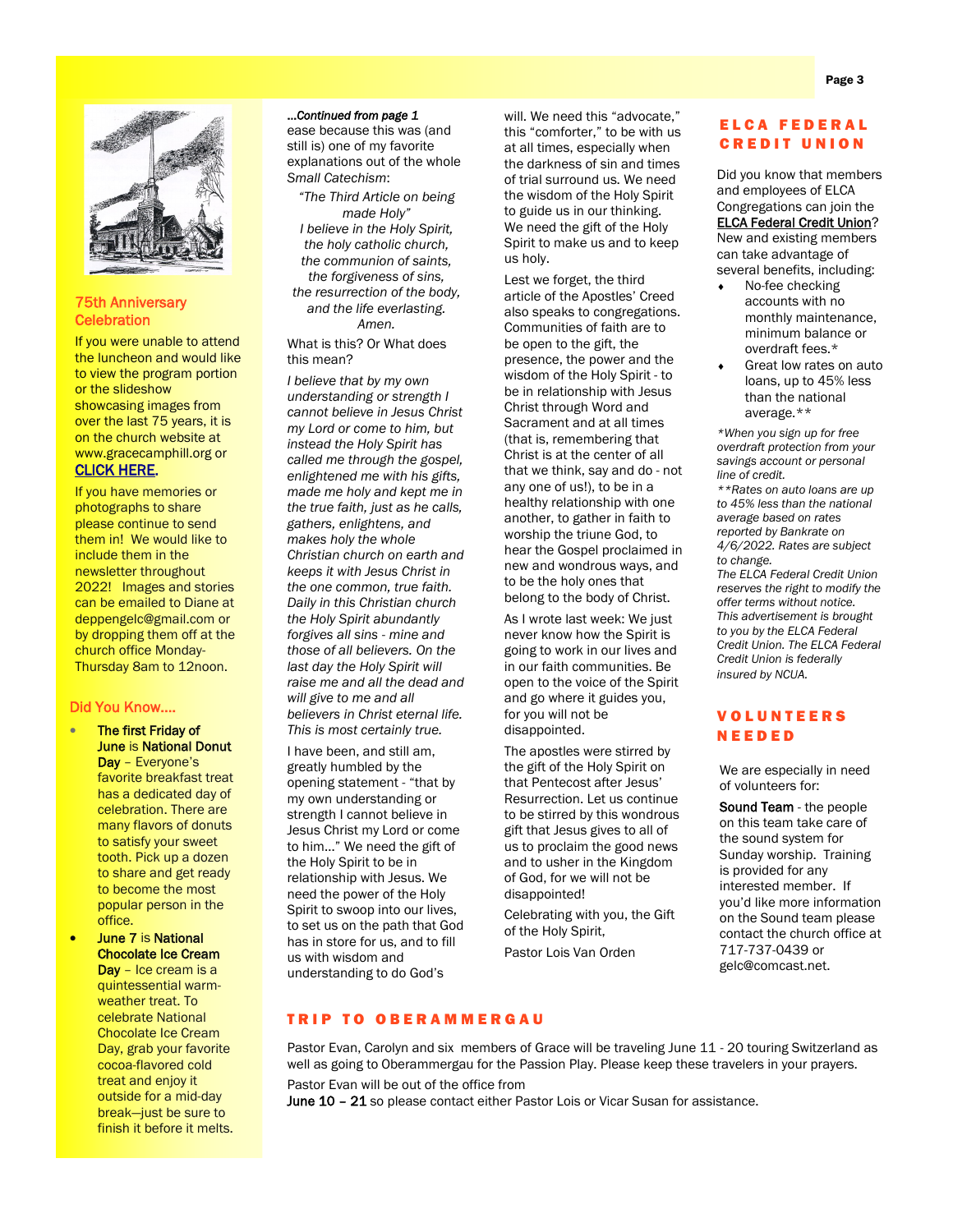

#### 75th Anniversary **Celebration**

If you were unable to attend the luncheon and would like to view the program portion or the slideshow showcasing images from over the last 75 years, it is on the church website at www.gracecamphill.org or **[CLICK HERE](https://www.gracecamphill.org/75th-anniversary-celebration).** 

If you have memories or photographs to share please continue to send them in! We would like to include them in the newsletter throughout 2022! Images and stories can be emailed to Diane at deppengelc@gmail.com or by dropping them off at the church office Monday-Thursday 8am to 12noon.

#### Did You Know….

- The first Friday of June is National Donut Day - Everyone's favorite breakfast treat has a dedicated day of celebration. There are many flavors of donuts to satisfy your sweet tooth. Pick up a dozen to share and get ready to become the most popular person in the office.
- June 7 is National Chocolate Ice Cream Day - Ice cream is a quintessential warmweather treat. To celebrate National Chocolate Ice Cream Day, grab your favorite cocoa-flavored cold treat and enjoy it outside for a mid-day break—just be sure to finish it before it melts.

#### ...*Continued from page 1*

ease because this was (and still is) one of my favorite explanations out of the whole *Small Catechism*:

*"The Third Article on being made Holy" I believe in the Holy Spirit, the holy catholic church, the communion of saints, the forgiveness of sins, the resurrection of the body, and the life everlasting. Amen.*

What is this? Or What does this mean?

*I believe that by my own understanding or strength I cannot believe in Jesus Christ my Lord or come to him, but instead the Holy Spirit has called me through the gospel, enlightened me with his gifts, made me holy and kept me in the true faith, just as he calls, gathers, enlightens, and makes holy the whole Christian church on earth and keeps it with Jesus Christ in the one common, true faith. Daily in this Christian church the Holy Spirit abundantly forgives all sins - mine and those of all believers. On the last day the Holy Spirit will raise me and all the dead and will give to me and all believers in Christ eternal life. This is most certainly true.*

I have been, and still am, greatly humbled by the opening statement - "that by my own understanding or strength I cannot believe in Jesus Christ my Lord or come to him…" We need the gift of the Holy Spirit to be in relationship with Jesus. We need the power of the Holy Spirit to swoop into our lives, to set us on the path that God has in store for us, and to fill us with wisdom and understanding to do God's

will. We need this "advocate," this "comforter," to be with us at all times, especially when the darkness of sin and times of trial surround us. We need the wisdom of the Holy Spirit to guide us in our thinking. We need the gift of the Holy Spirit to make us and to keep us holy.

Lest we forget, the third article of the Apostles' Creed also speaks to congregations. Communities of faith are to be open to the gift, the presence, the power and the wisdom of the Holy Spirit - to be in relationship with Jesus Christ through Word and Sacrament and at all times (that is, remembering that Christ is at the center of all that we think, say and do - not any one of us!), to be in a healthy relationship with one another, to gather in faith to worship the triune God, to hear the Gospel proclaimed in new and wondrous ways, and to be the holy ones that belong to the body of Christ.

As I wrote last week: We just never know how the Spirit is going to work in our lives and in our faith communities. Be open to the voice of the Spirit and go where it guides you, for you will not be disappointed.

The apostles were stirred by the gift of the Holy Spirit on that Pentecost after Jesus' Resurrection. Let us continue to be stirred by this wondrous gift that Jesus gives to all of us to proclaim the good news and to usher in the Kingdom of God, for we will not be disappointed!

Celebrating with you, the Gift of the Holy Spirit,

Pastor Lois Van Orden

# E L C A F E D E R A L **CREDIT UNION**

Did you know that members and employees of ELCA Congregations can join the [ELCA Federal Credit Union?](https://community.elca.org/page.redir?target=https%3a%2f%2fwww.elcafcu.org%2f&srcid=305347&srctid=1&erid=4d8aef95-629c-4004-b795-226f33dc513c&trid=4d8aef95-629c-4004-b795-226f33dc513c)  New and existing members can take advantage of several benefits, including:

- No-fee checking accounts with no monthly maintenance, minimum balance or overdraft fees.\*
- Great low rates on auto loans, up to 45% less than the national average.\*\*

*\*When you sign up for free overdraft protection from your savings account or personal line of credit.* 

*\*\*Rates on auto loans are up to 45% less than the national average based on rates reported by Bankrate on 4/6/2022. Rates are subject to change. The ELCA Federal Credit Union reserves the right to modify the offer terms without notice. This advertisement is brought* 

*to you by the ELCA Federal Credit Union. The ELCA Federal Credit Union is federally insured by NCUA.*

# V O L U N T E E R S N E E D E D

We are especially in need of volunteers for:

Sound Team - the people on this team take care of the sound system for Sunday worship. Training is provided for any interested member. If you'd like more information on the Sound team please contact the church office at 717-737-0439 or gelc@comcast.net.

# **TRIP TO OBERAMMERGAU**

Pastor Evan, Carolyn and six members of Grace will be traveling June 11 - 20 touring Switzerland as well as going to Oberammergau for the Passion Play. Please keep these travelers in your prayers.

Pastor Evan will be out of the office from

June 10 - 21 so please contact either Pastor Lois or Vicar Susan for assistance.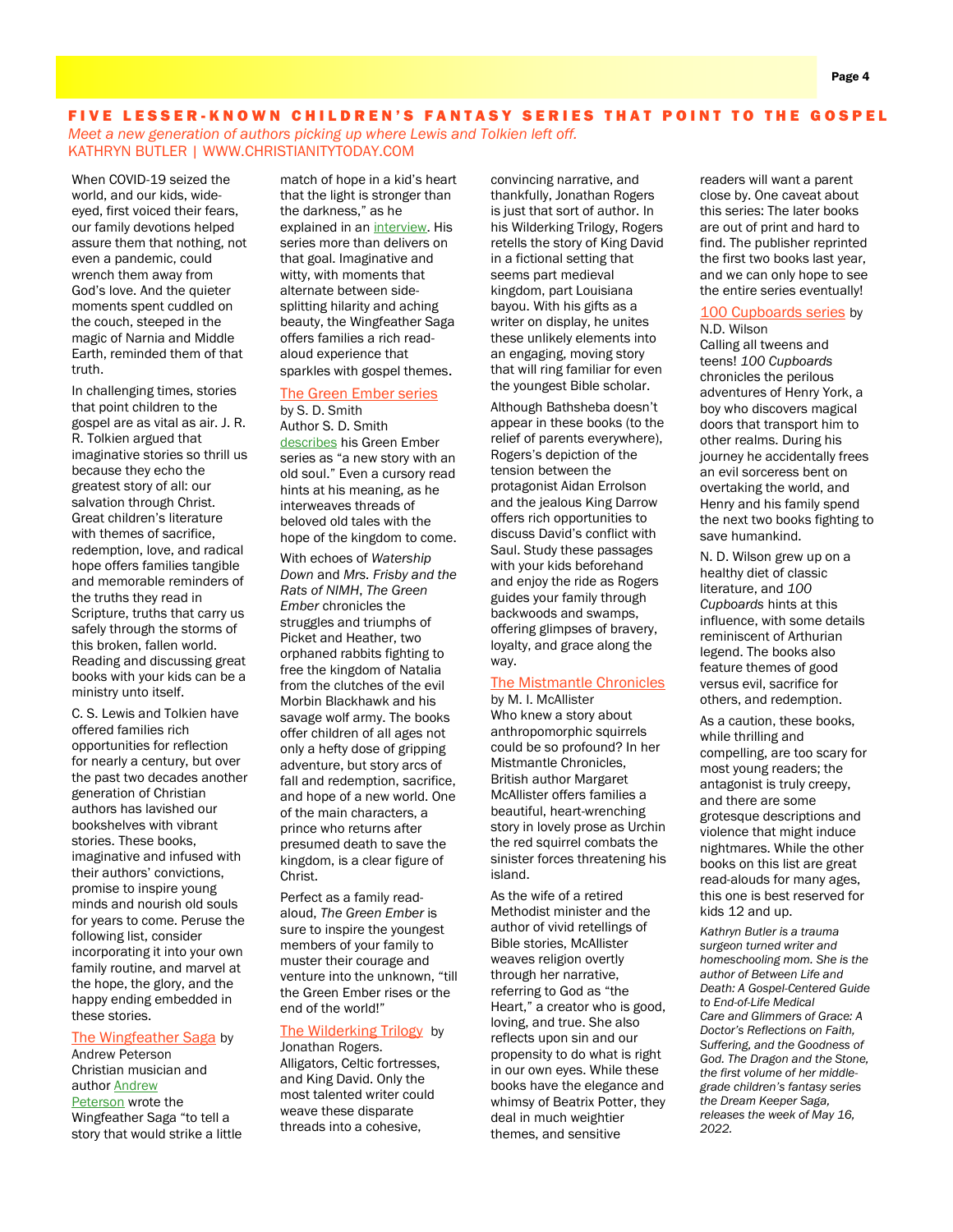# FIVE LESSER-KNOWN CHILDREN'S FANTASY SERIES THAT POINT TO THE GOSPEL

*Meet a new generation of authors picking up where Lewis and Tolkien left off.* KATHRYN BUTLER | WWW.CHRISTIANITYTODAY.COM

When COVID-19 seized the world, and our kids, wideeyed, first voiced their fears, our family devotions helped assure them that nothing, not even a pandemic, could wrench them away from God's love. And the quieter moments spent cuddled on the couch, steeped in the magic of Narnia and Middle Earth, reminded them of that truth.

In challenging times, stories that point children to the gospel are as vital as air. J. R. R. Tolkien argued that imaginative stories so thrill us because they echo the greatest story of all: our salvation through Christ. Great children's literature with themes of sacrifice, redemption, love, and radical hope offers families tangible and memorable reminders of the truths they read in Scripture, truths that carry us safely through the storms of this broken, fallen world. Reading and discussing great books with your kids can be a ministry unto itself.

C. S. Lewis and Tolkien have offered families rich opportunities for reflection for nearly a century, but over the past two decades another generation of Christian authors has lavished our bookshelves with vibrant stories. These books, imaginative and infused with their authors' convictions, promise to inspire young minds and nourish old souls for years to come. Peruse the following list, consider incorporating it into your own family routine, and marvel at the hope, the glory, and the happy ending embedded in these stories.

#### [The Wingfeather Saga](http://www.amazon.com/dp/059323569X/?tag=christtoday-20) by

Andrew Peterson Christian musician and author [Andrew](https://kindredgrace.com/interview-with-andrew-peterson/)  [Peterson](https://kindredgrace.com/interview-with-andrew-peterson/) wrote the Wingfeather Saga "to tell a story that would strike a little match of hope in a kid's heart that the light is stronger than the darkness," as he explained in an [interview.](https://kindredgrace.com/interview-with-andrew-peterson/) His series more than delivers on that goal. Imaginative and witty, with moments that alternate between sidesplitting hilarity and aching beauty, the Wingfeather Saga offers families a rich readaloud experience that sparkles with gospel themes.

## [The Green Ember series](http://www.amazon.com/dp/B086Q6T5GS/?tag=christtoday-20)

by S. D. Smith Author S. D. Smith [describes](https://sdsmith.com/) his Green Ember series as "a new story with an old soul." Even a cursory read hints at his meaning, as he interweaves threads of beloved old tales with the hope of the kingdom to come.

With echoes of *Watership Down* and *Mrs. Frisby and the Rats of NIMH*, *The Green Ember* chronicles the struggles and triumphs of Picket and Heather, two orphaned rabbits fighting to free the kingdom of Natalia from the clutches of the evil Morbin Blackhawk and his savage wolf army. The books offer children of all ages not only a hefty dose of gripping adventure, but story arcs of fall and redemption, sacrifice, and hope of a new world. One of the main characters, a prince who returns after presumed death to save the kingdom, is a clear figure of Christ.

Perfect as a family readaloud, *The Green Ember* is sure to inspire the youngest members of your family to muster their courage and venture into the unknown, "till the Green Ember rises or the end of the world!"

#### [The Wilderking Trilogy](http://www.amazon.com/dp/B074CJJ1YT/?tag=christtoday-20) by Jonathan Rogers.

Alligators, Celtic fortresses, and King David. Only the most talented writer could weave these disparate threads into a cohesive,

convincing narrative, and thankfully, Jonathan Rogers is just that sort of author. In his Wilderking Trilogy, Rogers retells the story of King David in a fictional setting that seems part medieval kingdom, part Louisiana bayou. With his gifts as a writer on display, he unites these unlikely elements into an engaging, moving story that will ring familiar for even the youngest Bible scholar.

Although Bathsheba doesn't appear in these books (to the relief of parents everywhere), Rogers's depiction of the tension between the protagonist Aidan Errolson and the jealous King Darrow offers rich opportunities to discuss David's conflict with Saul. Study these passages with your kids beforehand and enjoy the ride as Rogers guides your family through backwoods and swamps, offering glimpses of bravery, loyalty, and grace along the way.

#### [The Mistmantle Chronicles](http://www.amazon.com/dp/B09JYHW4HS/?tag=christtoday-20)

by M. I. McAllister Who knew a story about anthropomorphic squirrels could be so profound? In her Mistmantle Chronicles, British author Margaret McAllister offers families a beautiful, heart-wrenching story in lovely prose as Urchin the red squirrel combats the sinister forces threatening his island.

As the wife of a retired Methodist minister and the author of vivid retellings of Bible stories, McAllister weaves religion overtly through her narrative, referring to God as "the Heart," a creator who is good, loving, and true. She also reflects upon sin and our propensity to do what is right in our own eyes. While these books have the elegance and whimsy of Beatrix Potter, they deal in much weightier themes, and sensitive

readers will want a parent close by. One caveat about this series: The later books are out of print and hard to find. The publisher reprinted the first two books last year, and we can only hope to see the entire series eventually!

#### [100 Cupboards series](http://www.amazon.com/dp/B07F7PJXPN/?tag=christtoday-20) by N.D. Wilson

Calling all tweens and teens! *100 Cupboards* chronicles the perilous adventures of Henry York, a boy who discovers magical doors that transport him to other realms. During his journey he accidentally frees an evil sorceress bent on overtaking the world, and Henry and his family spend the next two books fighting to save humankind.

N. D. Wilson grew up on a healthy diet of classic literature, and *100 Cupboards* hints at this influence, with some details reminiscent of Arthurian legend. The books also feature themes of good versus evil, sacrifice for others, and redemption.

As a caution, these books, while thrilling and compelling, are too scary for most young readers; the antagonist is truly creepy, and there are some grotesque descriptions and violence that might induce nightmares. While the other books on this list are great read-alouds for many ages, this one is best reserved for kids 12 and up.

*Kathryn Butler is a trauma surgeon turned writer and homeschooling mom. She is the author of Between Life and Death: A Gospel-Centered Guide to End-of-Life Medical Care and Glimmers of Grace: A Doctor's Reflections on Faith, Suffering, and the Goodness of God. The Dragon and the Stone, the first volume of her middlegrade children's fantasy series the Dream Keeper Saga, releases the week of May 16, 2022.*